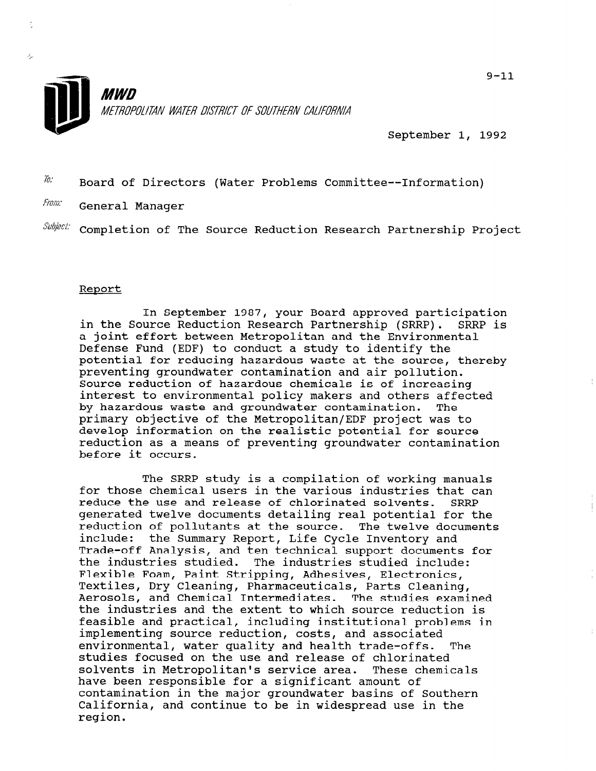

September 1, 1992

 $\bar{h}$ : Board of Directors (Water Problems Committee--Information)

From: General Manager

Ň,

 $\textit{Subject:}$  Completion of The Source Reduction Research Partnership Project

## Report

In September 1987, your Board approved participation in the Source Reduction Research Partnership (SRRP). SRRP is a joint effort between Metropolitan and the Environmental Defense Fund (EDF) to conduct a study to identify the potential for reducing hazardous waste at the source, thereby preventing groundwater contamination and air pollution. Source reduction of hazardous chemicals is of increasing interest to environmental policy makers and others affected by hazardous waste and groundwater contamination. The primary objective of the Metropolitan/EDF project was to develop information on the realistic potential for source reduction as a means of preventing groundwater contamination before it occurs.

The SRRP study is a compilation of working manuals for those chemical users in the various industries that can reduce the use and release of chlorinated solvents. SRRP generated twelve documents detailing real potential for the reduction of pollutants at the source. The twelve documents include: the Summary Report, Life Cycle Inventory and Trade-off Analysis, and ten technical support documents for Itaue-oil Analysis, and ten technical support document the industries studied. The industries studied include:<br>Flexible Foam, Paint Stripping, Adhesives, Electronics, riexible roam, Paint Stripping, Adnesives, Electronics IEXULIES, DIY CIEANING, FRAINACEULICAIS, FAILS CIEANING, Aerosols, and Chemical Intermediates. The studies examined<br>the industries and the extent to which source reduction is feasible and practical, including institutional problems in implementing source reduction, costs, and associated environmental, water quality and health trade-offs. The environmental, water quality and nealth trade-offs stuales rocused on the use and release or chlorinated.<br>selective in Metropolitan's secrits area. These chemical solvents in Metropolitan's service area. These chemicals have been responsible for a significant amount of nave been responsible for a significant amount of  $\epsilon \in \mathbb{R}$ contamination in the major groundwater basins of Southe California, and continue to be in widespread use in the reqion.